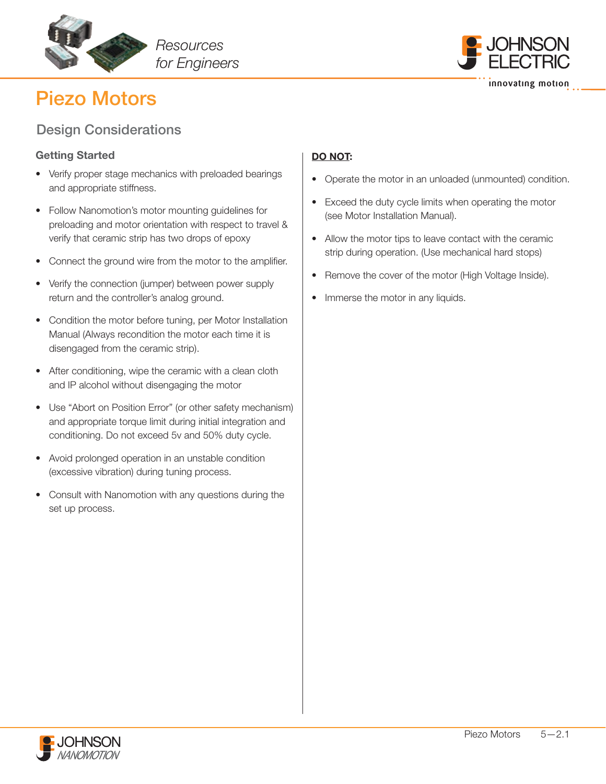



## Design Considerations

### Getting Started

- Verify proper stage mechanics with preloaded bearings and appropriate stiffness.
- Follow Nanomotion's motor mounting guidelines for preloading and motor orientation with respect to travel & verify that ceramic strip has two drops of epoxy
- Connect the ground wire from the motor to the amplifier.
- Verify the connection (jumper) between power supply return and the controller's analog ground.
- Condition the motor before tuning, per Motor Installation Manual (Always recondition the motor each time it is disengaged from the ceramic strip).
- After conditioning, wipe the ceramic with a clean cloth and IP alcohol without disengaging the motor
- Use "Abort on Position Error" (or other safety mechanism) and appropriate torque limit during initial integration and conditioning. Do not exceed 5v and 50% duty cycle.
- Avoid prolonged operation in an unstable condition (excessive vibration) during tuning process.
- Consult with Nanomotion with any questions during the set up process.

## DO NOT:

- Operate the motor in an unloaded (unmounted) condition.
- Exceed the duty cycle limits when operating the motor (see Motor Installation Manual).
- Allow the motor tips to leave contact with the ceramic strip during operation. (Use mechanical hard stops)
- Remove the cover of the motor (High Voltage Inside).
- Immerse the motor in any liquids.

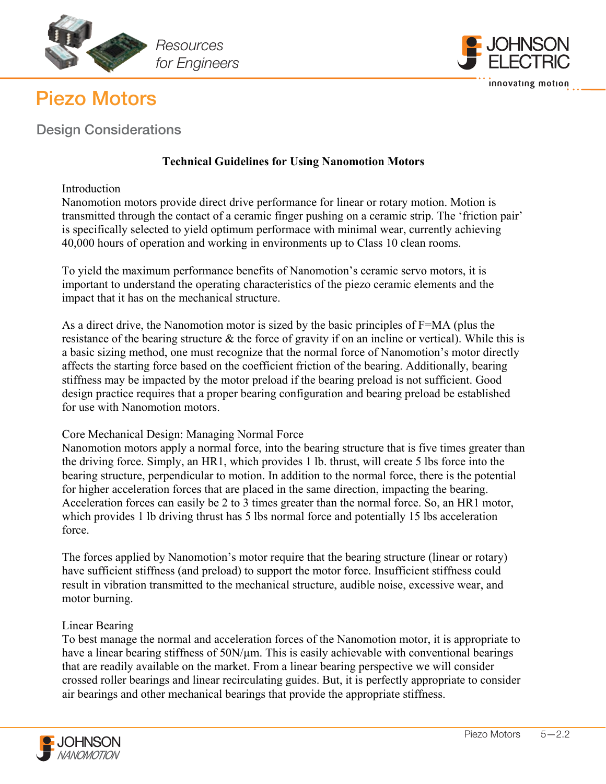



Design Considerations

## **Technical Guidelines for Using Nanomotion Motors**

### **Introduction**

Nanomotion motors provide direct drive performance for linear or rotary motion. Motion is transmitted through the contact of a ceramic finger pushing on a ceramic strip. The 'friction pair' is specifically selected to yield optimum performace with minimal wear, currently achieving 40,000 hours of operation and working in environments up to Class 10 clean rooms.

To yield the maximum performance benefits of Nanomotion's ceramic servo motors, it is important to understand the operating characteristics of the piezo ceramic elements and the impact that it has on the mechanical structure.

As a direct drive, the Nanomotion motor is sized by the basic principles of F=MA (plus the resistance of the bearing structure & the force of gravity if on an incline or vertical). While this is a basic sizing method, one must recognize that the normal force of Nanomotion's motor directly affects the starting force based on the coefficient friction of the bearing. Additionally, bearing stiffness may be impacted by the motor preload if the bearing preload is not sufficient. Good design practice requires that a proper bearing configuration and bearing preload be established for use with Nanomotion motors.

### Core Mechanical Design: Managing Normal Force

Nanomotion motors apply a normal force, into the bearing structure that is five times greater than the driving force. Simply, an HR1, which provides 1 lb. thrust, will create 5 lbs force into the bearing structure, perpendicular to motion. In addition to the normal force, there is the potential for higher acceleration forces that are placed in the same direction, impacting the bearing. Acceleration forces can easily be 2 to 3 times greater than the normal force. So, an HR1 motor, which provides 1 lb driving thrust has 5 lbs normal force and potentially 15 lbs acceleration force.

The forces applied by Nanomotion's motor require that the bearing structure (linear or rotary) have sufficient stiffness (and preload) to support the motor force. Insufficient stiffness could result in vibration transmitted to the mechanical structure, audible noise, excessive wear, and motor burning.

### Linear Bearing

To best manage the normal and acceleration forces of the Nanomotion motor, it is appropriate to have a linear bearing stiffness of 50N/µm. This is easily achievable with conventional bearings that are readily available on the market. From a linear bearing perspective we will consider crossed roller bearings and linear recirculating guides. But, it is perfectly appropriate to consider air bearings and other mechanical bearings that provide the appropriate stiffness.

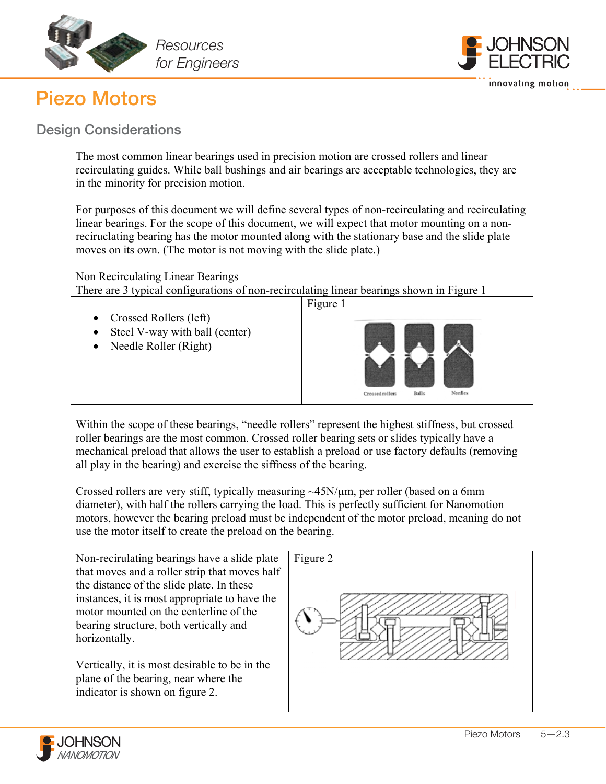



## Design Considerations

The most common linear bearings used in precision motion are crossed rollers and linear recirculating guides. While ball bushings and air bearings are acceptable technologies, they are in the minority for precision motion.

For purposes of this document we will define several types of non-recirculating and recirculating linear bearings. For the scope of this document, we will expect that motor mounting on a nonreciruclating bearing has the motor mounted along with the stationary base and the slide plate moves on its own. (The motor is not moving with the slide plate.)

### Non Recirculating Linear Bearings

There are 3 typical configurations of non-recirculating linear bearings shown in Figure 1



Within the scope of these bearings, "needle rollers" represent the highest stiffness, but crossed roller bearings are the most common. Crossed roller bearing sets or slides typically have a mechanical preload that allows the user to establish a preload or use factory defaults (removing all play in the bearing) and exercise the siffness of the bearing.

Crossed rollers are very stiff, typically measuring ~45N/µm, per roller (based on a 6mm diameter), with half the rollers carrying the load. This is perfectly sufficient for Nanomotion motors, however the bearing preload must be independent of the motor preload, meaning do not use the motor itself to create the preload on the bearing.



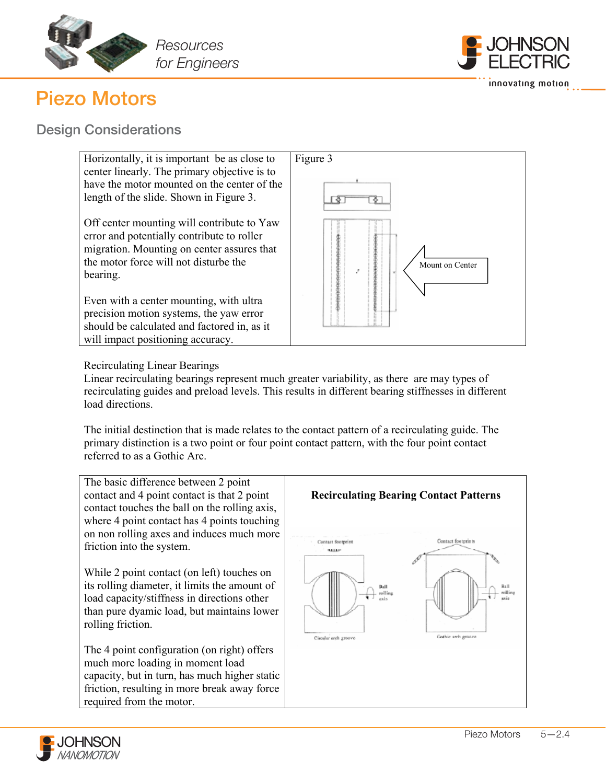



## Design Considerations



### Recirculating Linear Bearings

Linear recirculating bearings represent much greater variability, as there are may types of recirculating guides and preload levels. This results in different bearing stiffnesses in different load directions.

The initial destinction that is made relates to the contact pattern of a recirculating guide. The primary distinction is a two point or four point contact pattern, with the four point contact referred to as a Gothic Arc.

The basic difference between 2 point contact and 4 point contact is that 2 point contact touches the ball on the rolling axis, where 4 point contact has 4 points touching on non rolling axes and induces much more friction into the system.

While 2 point contact (on left) touches on its rolling diameter, it limits the amount of load capacity/stiffness in directions other than pure dyamic load, but maintains lower rolling friction.

The 4 point configuration (on right) offers much more loading in moment load capacity, but in turn, has much higher static friction, resulting in more break away force required from the motor.



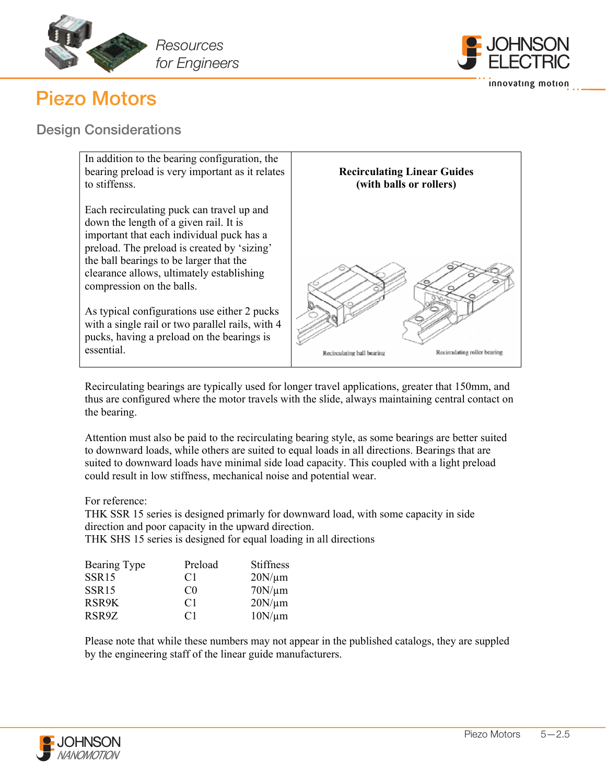



## Design Considerations



Recirculating bearings are typically used for longer travel applications, greater that 150mm, and thus are configured where the motor travels with the slide, always maintaining central contact on the bearing.

Attention must also be paid to the recirculating bearing style, as some bearings are better suited to downward loads, while others are suited to equal loads in all directions. Bearings that are suited to downward loads have minimal side load capacity. This coupled with a light preload could result in low stiffness, mechanical noise and potential wear.

For reference:

THK SSR 15 series is designed primarly for downward load, with some capacity in side direction and poor capacity in the upward direction.

THK SHS 15 series is designed for equal loading in all directions

| Bearing Type      | Preload        | <b>Stiffness</b> |
|-------------------|----------------|------------------|
| SSR <sub>15</sub> | C1             | $20N/\mu m$      |
| SSR <sub>15</sub> | C <sub>0</sub> | $70N/\mu m$      |
| RSR9K             | C <sub>1</sub> | $20N/\mu m$      |
| RSR9Z             | C <sub>1</sub> | $10N/\mu m$      |

Please note that while these numbers may not appear in the published catalogs, they are suppled by the engineering staff of the linear guide manufacturers.

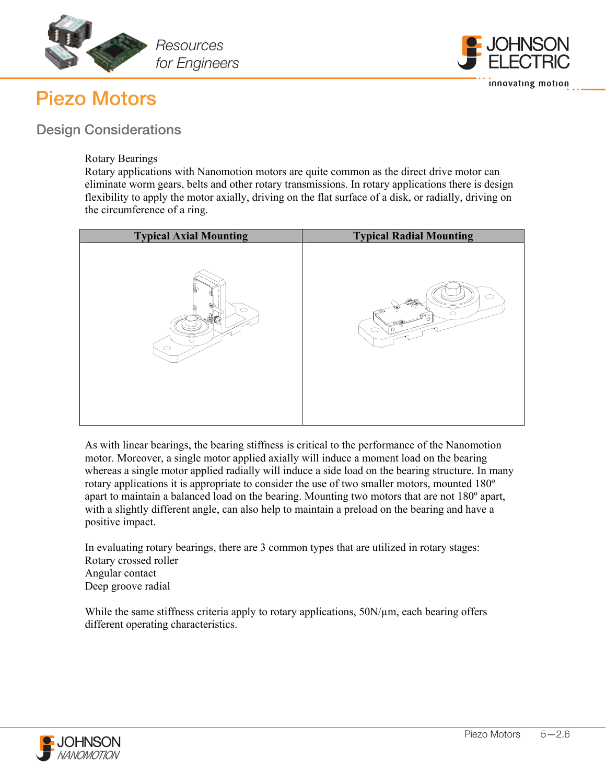



## Design Considerations

### Rotary Bearings

Rotary applications with Nanomotion motors are quite common as the direct drive motor can eliminate worm gears, belts and other rotary transmissions. In rotary applications there is design flexibility to apply the motor axially, driving on the flat surface of a disk, or radially, driving on the circumference of a ring.

| <b>Typical Axial Mounting</b> | <b>Typical Radial Mounting</b> |
|-------------------------------|--------------------------------|
| Å.                            | □                              |
| O                             | S S                            |
| $\circ$                       | $\circ$                        |
| $\circ$                       | $\Omega$                       |

As with linear bearings, the bearing stiffness is critical to the performance of the Nanomotion motor. Moreover, a single motor applied axially will induce a moment load on the bearing whereas a single motor applied radially will induce a side load on the bearing structure. In many rotary applications it is appropriate to consider the use of two smaller motors, mounted 180º apart to maintain a balanced load on the bearing. Mounting two motors that are not 180º apart, with a slightly different angle, can also help to maintain a preload on the bearing and have a positive impact.

In evaluating rotary bearings, there are 3 common types that are utilized in rotary stages: Rotary crossed roller Angular contact Deep groove radial

While the same stiffness criteria apply to rotary applications,  $50N/\mu m$ , each bearing offers different operating characteristics.

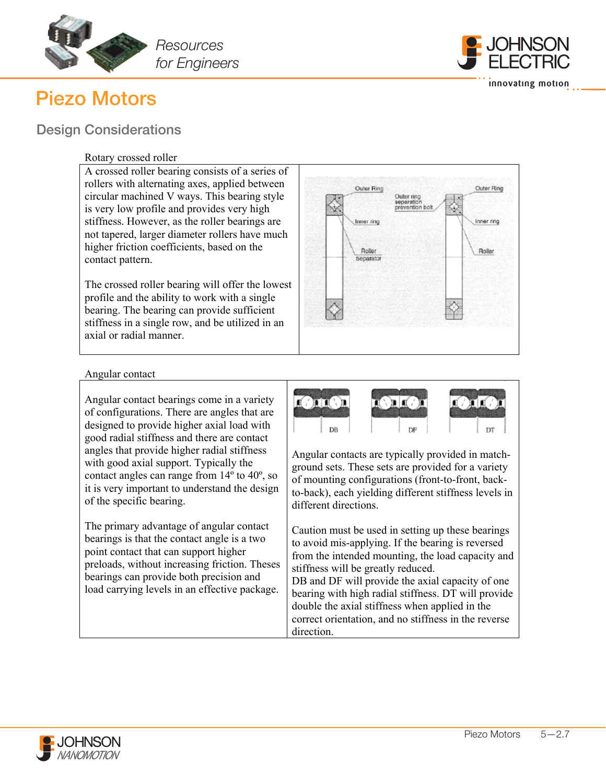



innovating motion

## Design Considerations

### Rotary crossed roller

A crossed roller bearing consists of a series of rollers with alternating axes, applied between circular machined V ways. This bearing style is very low profile and provides very high stiffness. However, as the roller bearings are not tapered, larger diameter rollers have much higher friction coefficients, based on the contact pattern.

The crossed roller bearing will offer the lowest profile and the ability to work with a single bearing. The bearing can provide sufficient stiffness in a single row, and be utilized in an axial or radial manner.



#### Angular contact

Angular contact bearings come in a variety of configurations. There are angles that are designed to provide higher axial load with good radial stiffness and there are contact angles that provide higher radial stiffness with good axial support. Typically the contact angles can range from 14º to 40º, so it is very important to understand the design of the specific bearing.

The primary advantage of angular contact bearings is that the contact angle is a two point contact that can support higher preloads, without increasing friction. Theses bearings can provide both precision and load carrying levels in an effective package.



Angular contacts are typically provided in matchground sets. These sets are provided for a variety of mounting configurations (front-to-front, backto-back), each yielding different stiffness levels in different directions.

Caution must be used in setting up these bearings to avoid mis-applying. If the bearing is reversed from the intended mounting, the load capacity and stiffness will be greatly reduced.

DB and DF will provide the axial capacity of one bearing with high radial stiffness. DT will provide double the axial stiffness when applied in the correct orientation, and no stiffness in the reverse direction.

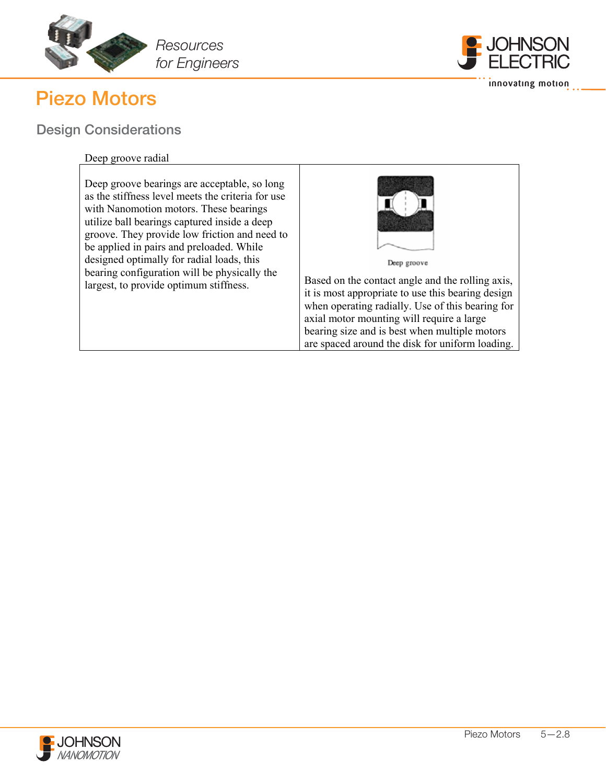



innovating motion

# Design Considerations

### Deep groove radial

| Deep groove bearings are acceptable, so long<br>as the stiffness level meets the criteria for use<br>with Nanomotion motors. These bearings<br>utilize ball bearings captured inside a deep<br>groove. They provide low friction and need to<br>be applied in pairs and preloaded. While<br>designed optimally for radial loads, this<br>bearing configuration will be physically the<br>largest, to provide optimum stiffness. | Deep groove<br>Based on the contact angle and the rolling axis,<br>it is most appropriate to use this bearing design<br>when operating radially. Use of this bearing for<br>axial motor mounting will require a large<br>bearing size and is best when multiple motors<br>are spaced around the disk for uniform loading. |
|---------------------------------------------------------------------------------------------------------------------------------------------------------------------------------------------------------------------------------------------------------------------------------------------------------------------------------------------------------------------------------------------------------------------------------|---------------------------------------------------------------------------------------------------------------------------------------------------------------------------------------------------------------------------------------------------------------------------------------------------------------------------|
|---------------------------------------------------------------------------------------------------------------------------------------------------------------------------------------------------------------------------------------------------------------------------------------------------------------------------------------------------------------------------------------------------------------------------------|---------------------------------------------------------------------------------------------------------------------------------------------------------------------------------------------------------------------------------------------------------------------------------------------------------------------------|

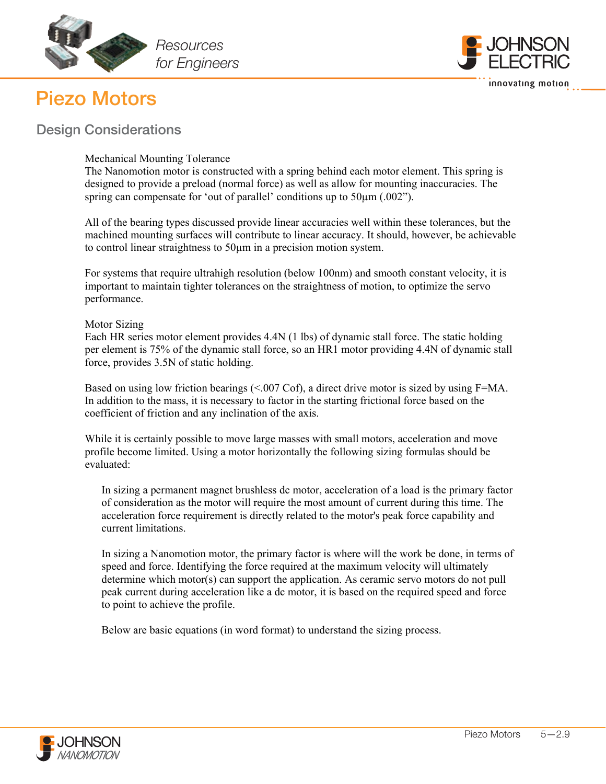



## Design Considerations

### Mechanical Mounting Tolerance

The Nanomotion motor is constructed with a spring behind each motor element. This spring is designed to provide a preload (normal force) as well as allow for mounting inaccuracies. The spring can compensate for 'out of parallel' conditions up to 50  $\mu$ m (.002").

All of the bearing types discussed provide linear accuracies well within these tolerances, but the machined mounting surfaces will contribute to linear accuracy. It should, however, be achievable to control linear straightness to 50µm in a precision motion system.

For systems that require ultrahigh resolution (below 100nm) and smooth constant velocity, it is important to maintain tighter tolerances on the straightness of motion, to optimize the servo performance.

### Motor Sizing

Each HR series motor element provides 4.4N (1 lbs) of dynamic stall force. The static holding per element is 75% of the dynamic stall force, so an HR1 motor providing 4.4N of dynamic stall force, provides 3.5N of static holding.

Based on using low friction bearings (<.007 Cof), a direct drive motor is sized by using F=MA. In addition to the mass, it is necessary to factor in the starting frictional force based on the coefficient of friction and any inclination of the axis.

While it is certainly possible to move large masses with small motors, acceleration and move profile become limited. Using a motor horizontally the following sizing formulas should be evaluated:

In sizing a permanent magnet brushless dc motor, acceleration of a load is the primary factor of consideration as the motor will require the most amount of current during this time. The acceleration force requirement is directly related to the motor's peak force capability and current limitations.

In sizing a Nanomotion motor, the primary factor is where will the work be done, in terms of speed and force. Identifying the force required at the maximum velocity will ultimately determine which motor(s) can support the application. As ceramic servo motors do not pull peak current during acceleration like a dc motor, it is based on the required speed and force to point to achieve the profile.

www.nanomotion.com

Below are basic equations (in word format) to understand the sizing process.

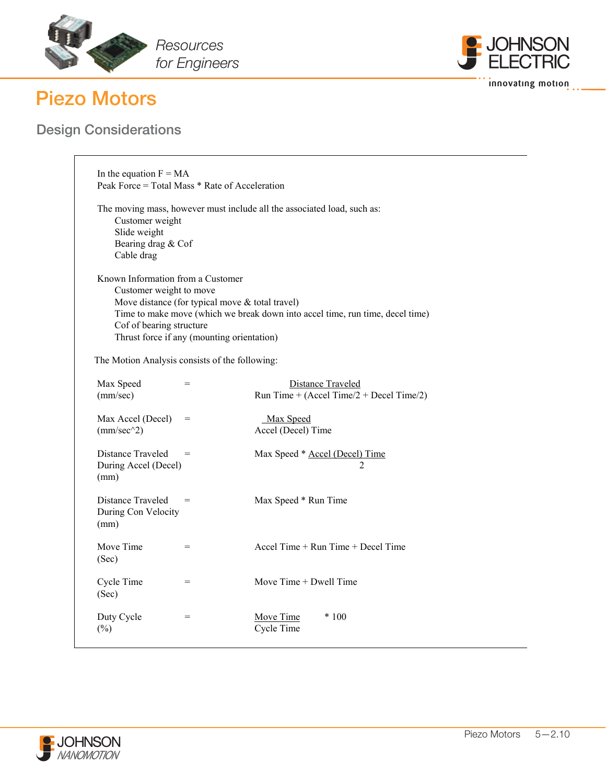





| In the equation $F = MA$<br>Peak Force = Total Mass * Rate of Acceleration                                                                 |                                                                                               |                                                                               |
|--------------------------------------------------------------------------------------------------------------------------------------------|-----------------------------------------------------------------------------------------------|-------------------------------------------------------------------------------|
| Customer weight<br>Slide weight<br>Bearing drag & Cof<br>Cable drag                                                                        |                                                                                               | The moving mass, however must include all the associated load, such as:       |
| Known Information from a Customer<br>Customer weight to move<br>Cof of bearing structure<br>The Motion Analysis consists of the following: | Move distance (for typical move & total travel)<br>Thrust force if any (mounting orientation) | Time to make move (which we break down into accel time, run time, decel time) |
| Max Speed<br>(mm/sec)                                                                                                                      | $=$                                                                                           | <b>Distance Traveled</b><br>Run Time + (Accel Time/ $2 +$ Decel Time/ $2$ )   |
| Max Accel (Decel)<br>$(mm/sec^2)$                                                                                                          | $=$                                                                                           | Max Speed<br>Accel (Decel) Time                                               |
| Distance Traveled<br>During Accel (Decel)<br>(mm)                                                                                          | $=$                                                                                           | Max Speed * Accel (Decel) Time<br>$\overline{2}$                              |
| Distance Traveled<br>During Con Velocity<br>(mm)                                                                                           | $=$                                                                                           | Max Speed * Run Time                                                          |
| Move Time<br>(Sec)                                                                                                                         | $=$                                                                                           | Accel Time + Run Time + Decel Time                                            |
| Cycle Time<br>(Sec)                                                                                                                        | $=$                                                                                           | Move $Time + Dwell Time$                                                      |
| Duty Cycle<br>$(\%)$                                                                                                                       | $=$                                                                                           | Move Time<br>$*100$<br>Cycle Time                                             |

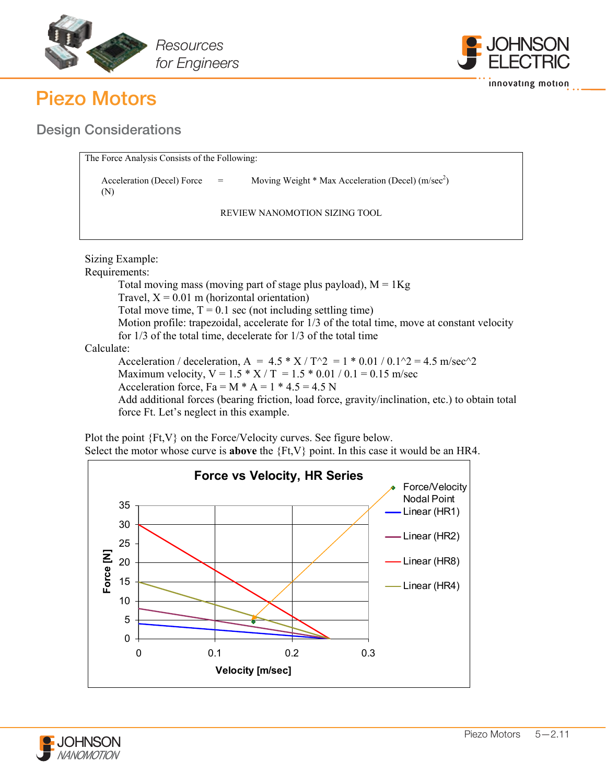



innovating motion

Design Considerations

| The Force Analysis Consists of the Following:  |                                                     |
|------------------------------------------------|-----------------------------------------------------|
| $\text{Acceleration}$ (Decel) Force $=$<br>(N) | Moving Weight * Max Acceleration (Decel) $(m/sec2)$ |
|                                                | REVIEW NANOMOTION SIZING TOOL                       |

Sizing Example: Requirements: Total moving mass (moving part of stage plus payload),  $M = 1Kg$ Travel,  $X = 0.01$  m (horizontal orientation) Total move time,  $T = 0.1$  sec (not including settling time) Motion profile: trapezoidal, accelerate for 1/3 of the total time, move at constant velocity for 1/3 of the total time, decelerate for 1/3 of the total time Calculate: Acceleration / deceleration, A =  $4.5 * X / T^2 = 1 * 0.01 / 0.1^2 = 4.5$  m/sec<sup>2</sup> Maximum velocity,  $V = 1.5 * X / T = 1.5 * 0.01 / 0.1 = 0.15$  m/sec Acceleration force,  $Fa = M * A = 1 * 4.5 = 4.5 N$ 

Add additional forces (bearing friction, load force, gravity/inclination, etc.) to obtain total force Ft. Let's neglect in this example.



www.nanomotion.com

Plot the point {Ft,V} on the Force/Velocity curves. See figure below. Select the motor whose curve is **above** the {Ft,V} point. In this case it would be an HR4.

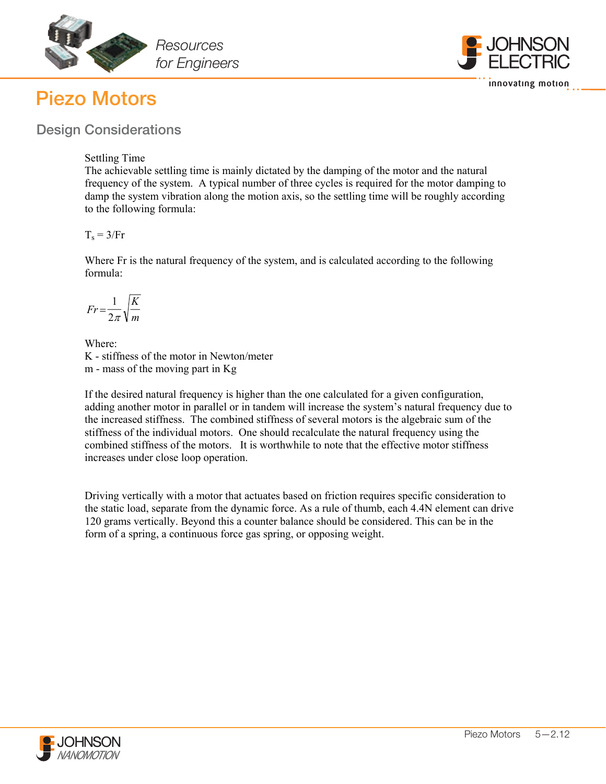



## Design Considerations

### Settling Time

The achievable settling time is mainly dictated by the damping of the motor and the natural frequency of the system. A typical number of three cycles is required for the motor damping to damp the system vibration along the motion axis, so the settling time will be roughly according to the following formula:

 $T_s = 3/Fr$ 

Where Fr is the natural frequency of the system, and is calculated according to the following formula:

$$
Fr = \frac{1}{2\pi} \sqrt{\frac{K}{m}}
$$

Where: K - stiffness of the motor in Newton/meter m - mass of the moving part in Kg

If the desired natural frequency is higher than the one calculated for a given configuration, adding another motor in parallel or in tandem will increase the system's natural frequency due to the increased stiffness. The combined stiffness of several motors is the algebraic sum of the stiffness of the individual motors. One should recalculate the natural frequency using the combined stiffness of the motors. It is worthwhile to note that the effective motor stiffness increases under close loop operation.

Driving vertically with a motor that actuates based on friction requires specific consideration to the static load, separate from the dynamic force. As a rule of thumb, each 4.4N element can drive 120 grams vertically. Beyond this a counter balance should be considered. This can be in the form of a spring, a continuous force gas spring, or opposing weight.

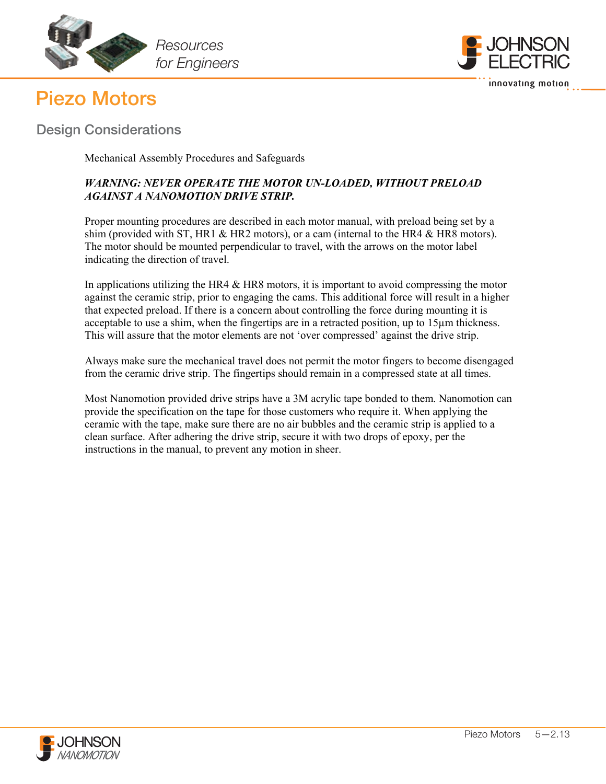



Design Considerations

Mechanical Assembly Procedures and Safeguards

### *WARNING: NEVER OPERATE THE MOTOR UN-LOADED, WITHOUT PRELOAD AGAINST A NANOMOTION DRIVE STRIP.*

Proper mounting procedures are described in each motor manual, with preload being set by a shim (provided with ST, HR1 & HR2 motors), or a cam (internal to the HR4 & HR8 motors). The motor should be mounted perpendicular to travel, with the arrows on the motor label indicating the direction of travel.

In applications utilizing the HR4  $\&$  HR8 motors, it is important to avoid compressing the motor against the ceramic strip, prior to engaging the cams. This additional force will result in a higher that expected preload. If there is a concern about controlling the force during mounting it is acceptable to use a shim, when the fingertips are in a retracted position, up to 15µm thickness. This will assure that the motor elements are not 'over compressed' against the drive strip.

Always make sure the mechanical travel does not permit the motor fingers to become disengaged from the ceramic drive strip. The fingertips should remain in a compressed state at all times.

Most Nanomotion provided drive strips have a 3M acrylic tape bonded to them. Nanomotion can provide the specification on the tape for those customers who require it. When applying the ceramic with the tape, make sure there are no air bubbles and the ceramic strip is applied to a clean surface. After adhering the drive strip, secure it with two drops of epoxy, per the instructions in the manual, to prevent any motion in sheer.

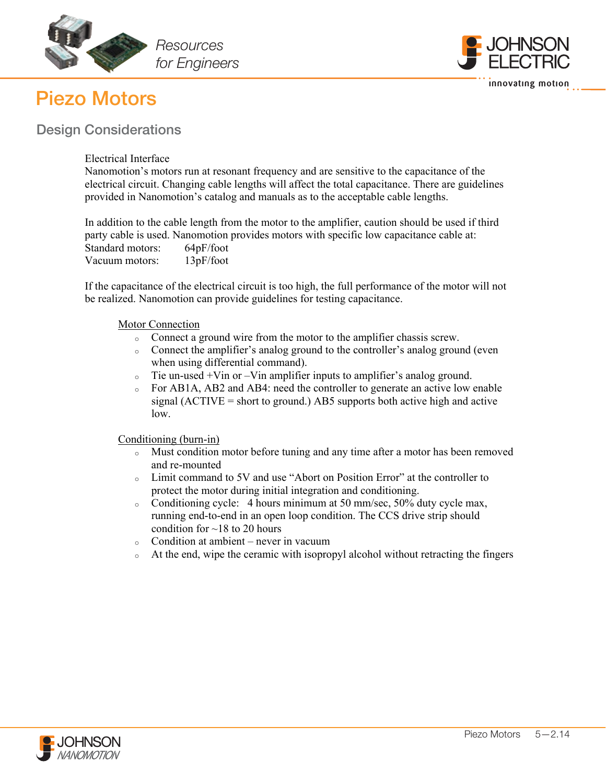





Electrical Interface

Nanomotion's motors run at resonant frequency and are sensitive to the capacitance of the electrical circuit. Changing cable lengths will affect the total capacitance. There are guidelines provided in Nanomotion's catalog and manuals as to the acceptable cable lengths.

In addition to the cable length from the motor to the amplifier, caution should be used if third party cable is used. Nanomotion provides motors with specific low capacitance cable at: Standard motors: 64pF/foot Vacuum motors: 13pF/foot

If the capacitance of the electrical circuit is too high, the full performance of the motor will not be realized. Nanomotion can provide guidelines for testing capacitance.

### Motor Connection

- <sup>o</sup> Connect a ground wire from the motor to the amplifier chassis screw.
- <sup>o</sup> Connect the amplifier's analog ground to the controller's analog ground (even when using differential command).
- <sup>o</sup> Tie un-used +Vin or –Vin amplifier inputs to amplifier's analog ground.
- For AB1A, AB2 and AB4: need the controller to generate an active low enable signal  $(ACTIVE = short to ground.)$  AB5 supports both active high and active low.

Conditioning (burn-in)

- <sup>o</sup> Must condition motor before tuning and any time after a motor has been removed and re-mounted
- <sup>o</sup> Limit command to 5V and use "Abort on Position Error" at the controller to protect the motor during initial integration and conditioning.
- <sup>o</sup> Conditioning cycle: 4 hours minimum at 50 mm/sec, 50% duty cycle max, running end-to-end in an open loop condition. The CCS drive strip should condition for  $\sim$  18 to 20 hours

- $\circ$  Condition at ambient never in vacuum
- $\circ$  At the end, wipe the ceramic with isopropyl alcohol without retracting the fingers

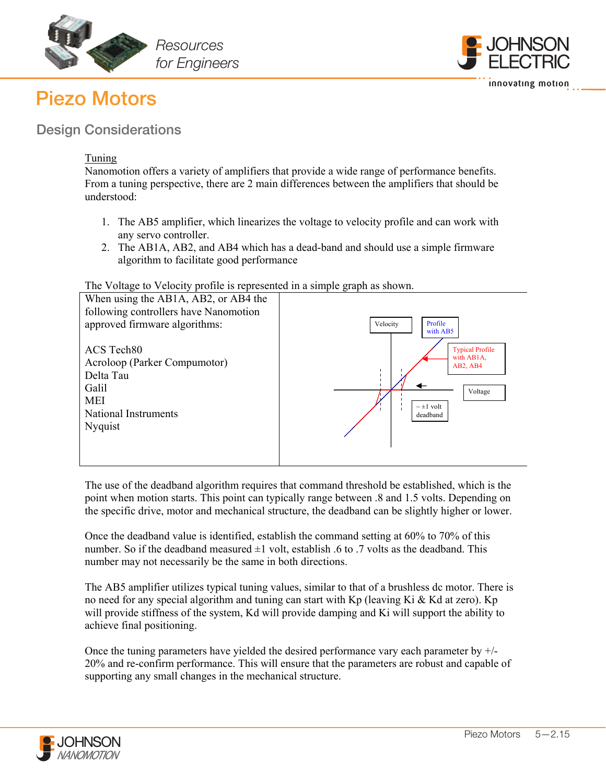





### Tuning

Nanomotion offers a variety of amplifiers that provide a wide range of performance benefits. From a tuning perspective, there are 2 main differences between the amplifiers that should be understood:

- 1. The AB5 amplifier, which linearizes the voltage to velocity profile and can work with any servo controller.
- 2. The AB1A, AB2, and AB4 which has a dead-band and should use a simple firmware algorithm to facilitate good performance

#### The Voltage to Velocity profile is represented in a simple graph as shown.



The use of the deadband algorithm requires that command threshold be established, which is the point when motion starts. This point can typically range between .8 and 1.5 volts. Depending on the specific drive, motor and mechanical structure, the deadband can be slightly higher or lower.

Once the deadband value is identified, establish the command setting at 60% to 70% of this number. So if the deadband measured  $\pm 1$  volt, establish .6 to .7 volts as the deadband. This number may not necessarily be the same in both directions.

The AB5 amplifier utilizes typical tuning values, similar to that of a brushless dc motor. There is no need for any special algorithm and tuning can start with  $Kp$  (leaving Ki & Kd at zero). Kp will provide stiffness of the system, Kd will provide damping and Ki will support the ability to achieve final positioning.

Once the tuning parameters have yielded the desired performance vary each parameter by  $+/-$ 20% and re-confirm performance. This will ensure that the parameters are robust and capable of supporting any small changes in the mechanical structure.

www.nanomotion.com/www.nanomotion.com